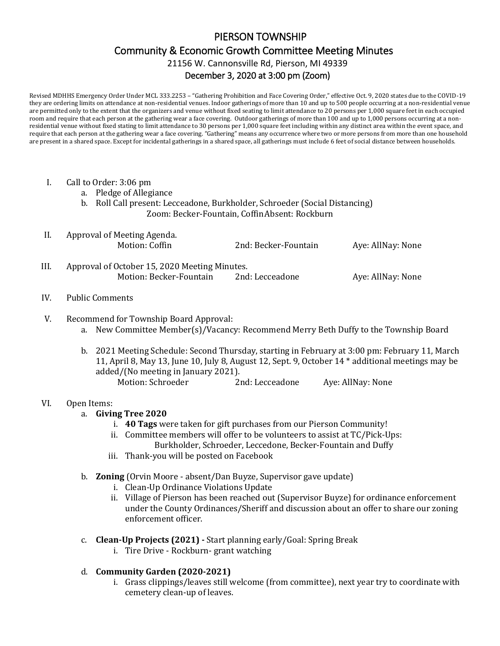# PIERSON TOWNSHIP Community & Economic Growth Committee Meeting Minutes 21156 W. Cannonsville Rd, Pierson, MI 49339 December 3, 2020 at 3:00 pm (Zoom)

Revised MDHHS Emergency Order Under MCL 333.2253 – "Gathering Prohibition and Face Covering Order," effective Oct. 9, 2020 states due to the COVID-19 they are ordering limits on attendance at non-residential venues. Indoor gatherings of more than 10 and up to 500 people occurring at a non-residential venue are permitted only to the extent that the organizers and venue without fixed seating to limit attendance to 20 persons per 1,000 square feet in each occupied room and require that each person at the gathering wear a face covering. Outdoor gatherings of more than 100 and up to 1,000 persons occurring at a nonresidential venue without fixed stating to limit attendance to 30 persons per 1,000 square feet including within any distinct area within the event space, and require that each person at the gathering wear a face covering. "Gathering" means any occurrence where two or more persons from more than one household are present in a shared space. Except for incidental gatherings in a shared space, all gatherings must include 6 feet of social distance between households.

- I. Call to Order: 3:06 pm
	- a. Pledge of Allegiance
	- b. Roll Call present: Lecceadone, Burkholder, Schroeder (Social Distancing) Zoom: Becker-Fountain, CoffinAbsent: Rockburn

| II. | Approval of Meeting Agenda.                   |                      |                   |
|-----|-----------------------------------------------|----------------------|-------------------|
|     | Motion: Coffin                                | 2nd: Becker-Fountain | Aye: AllNay: None |
|     |                                               |                      |                   |
| HI. | Approval of October 15, 2020 Meeting Minutes. |                      |                   |
|     | Motion: Becker-Fountain                       | 2nd: Lecceadone      | Aye: AllNay: None |
|     |                                               |                      |                   |

#### IV. Public Comments

## V. Recommend for Township Board Approval:

- a. New Committee Member(s)/Vacancy: Recommend Merry Beth Duffy to the Township Board
- b. 2021 Meeting Schedule: Second Thursday, starting in February at 3:00 pm: February 11, March 11, April 8, May 13, June 10, July 8, August 12, Sept. 9, October 14 \* additional meetings may be added/(No meeting in January 2021). Motion: Schroeder 2nd: Lecceadone Aye: AllNay: None

#### VI. Open Items:

- a. **Giving Tree 2020**
	- i. **40 Tags** were taken for gift purchases from our Pierson Community!
	- ii. Committee members will offer to be volunteers to assist at TC/Pick-Ups: Burkholder, Schroeder, Leccedone, Becker-Fountain and Duffy
	- iii. Thank-you will be posted on Facebook
- b. **Zoning** (Orvin Moore absent/Dan Buyze, Supervisor gave update)
	- i. Clean-Up Ordinance Violations Update
	- ii. Village of Pierson has been reached out (Supervisor Buyze) for ordinance enforcement under the County Ordinances/Sheriff and discussion about an offer to share our zoning enforcement officer.
- c. **Clean-Up Projects (2021) -** Start planning early/Goal: Spring Break
	- i. Tire Drive Rockburn- grant watching
- d. **Community Garden (2020-2021)**
	- i. Grass clippings/leaves still welcome (from committee), next year try to coordinate with cemetery clean-up of leaves.